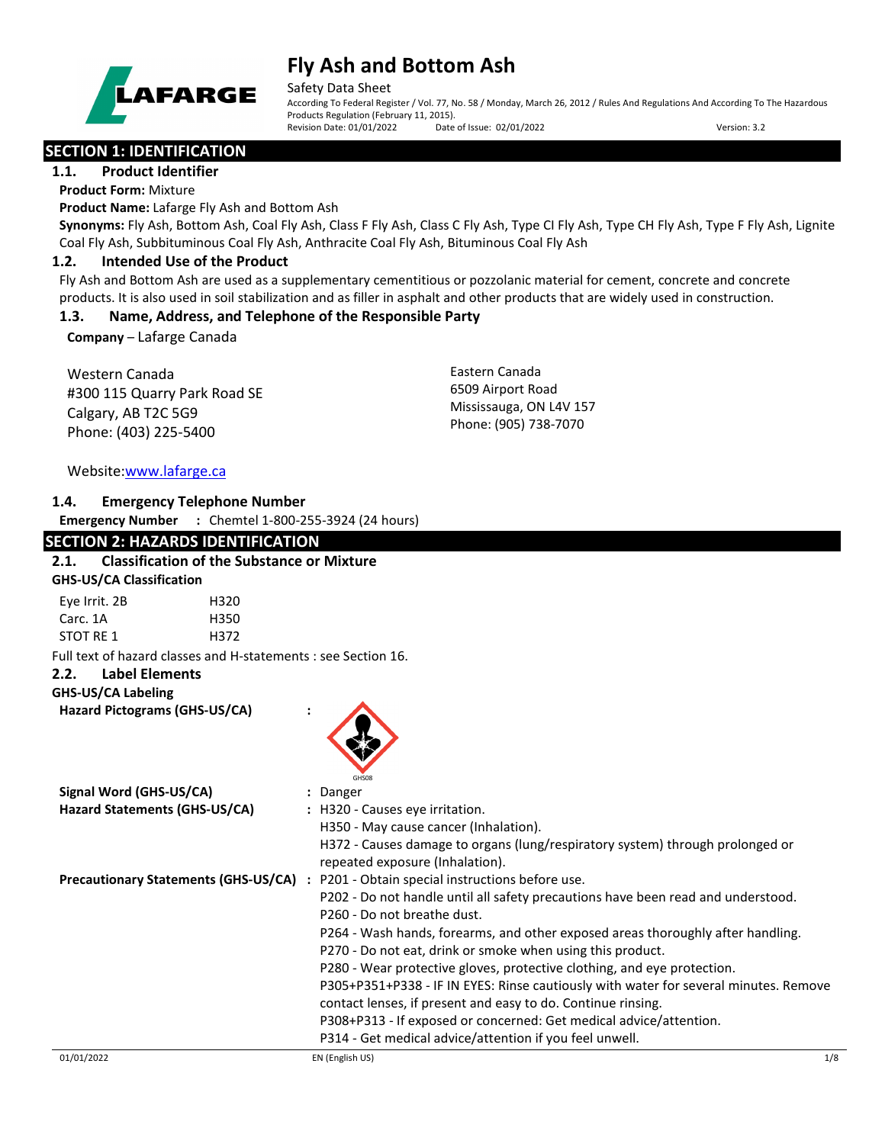

Safety Data Sheet

According To Federal Register / Vol. 77, No. 58 / Monday, March 26, 2012 / Rules And Regulations And According To The Hazardous Products Regulation (February 11, 2015). Revision Date: 01/01/2022 Date of Issue: 02/01/2022 Version: 3.2

## **SECTION 1: IDENTIFICATION**

**1.1. Product Identifier**

**Product Form:** Mixture

**Product Name:** Lafarge Fly Ash and Bottom Ash

**Synonyms:** Fly Ash, Bottom Ash, Coal Fly Ash, Class F Fly Ash, Class C Fly Ash, Type CI Fly Ash, Type CH Fly Ash, Type F Fly Ash, Lignite Coal Fly Ash, Subbituminous Coal Fly Ash, Anthracite Coal Fly Ash, Bituminous Coal Fly Ash

#### **1.2. Intended Use of the Product**

Fly Ash and Bottom Ash are used as a supplementary cementitious or pozzolanic material for cement, concrete and concrete products. It is also used in soil stabilization and as filler in asphalt and other products that are widely used in construction.

#### **1.3. Name, Address, and Telephone of the Responsible Party**

**Company** – Lafarge Canada

Western Canada #300 115 Quarry Park Road SE Calgary, AB T2C 5G9 Phone: (403) 225-5400

Eastern Canada 6509 Airport Road Mississauga, ON L4V 157 Phone: (905) 738-7070

## Website[:www.lafarge.ca](file://leon/customers/CUSTOMERS/Lafarge_North_America_Inc/Projects/Authoring_20180316/Batch_Folder/B_Draft_SDS/MS_Word_Files/www.lafarge.ca)

## **1.4. Emergency Telephone Number**

**Emergency Number :** Chemtel 1-800-255-3924 (24 hours)

## **SECTION 2: HAZARDS IDENTIFICATION**

## **2.1. Classification of the Substance or Mixture GHS-US/CA Classification** Eye Irrit. 2B H320 Carc. 1A H350 STOT RE 1 H372 Full text of hazard classes and H-statements : see Section 16. **2.2. Label Elements GHS-US/CA Labeling Hazard Pictograms (GHS-US/CA) :** GHS08 **Signal Word (GHS-US/CA) :** Danger **Hazard Statements (GHS-US/CA) :** H320 - Causes eye irritation. H350 - May cause cancer (Inhalation). H372 - Causes damage to organs (lung/respiratory system) through prolonged or repeated exposure (Inhalation). **Precautionary Statements (GHS-US/CA) :** P201 - Obtain special instructions before use. P202 - Do not handle until all safety precautions have been read and understood. P260 - Do not breathe dust. P264 - Wash hands, forearms, and other exposed areas thoroughly after handling. P270 - Do not eat, drink or smoke when using this product. P280 - Wear protective gloves, protective clothing, and eye protection. P305+P351+P338 - IF IN EYES: Rinse cautiously with water for several minutes. Remove contact lenses, if present and easy to do. Continue rinsing. P308+P313 - If exposed or concerned: Get medical advice/attention. P314 - Get medical advice/attention if you feel unwell.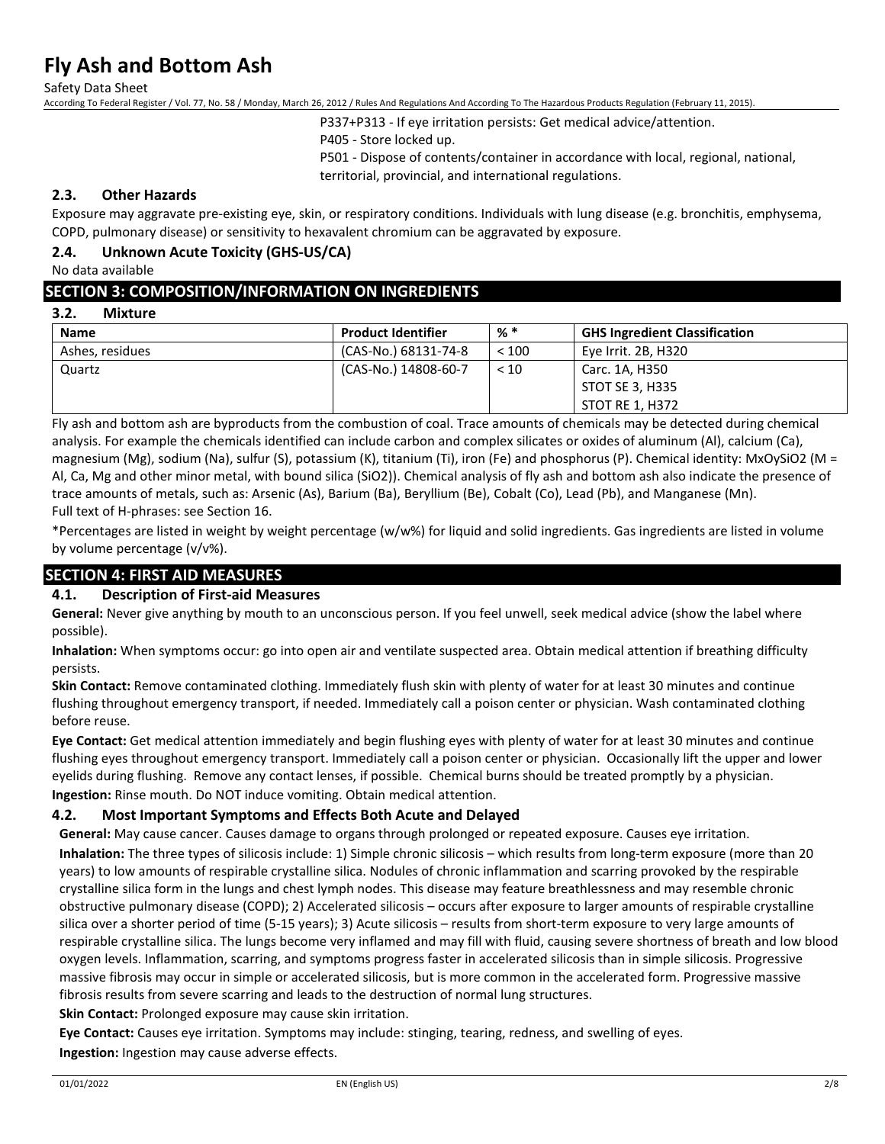Safety Data Sheet

According To Federal Register / Vol. 77, No. 58 / Monday, March 26, 2012 / Rules And Regulations And According To The Hazardous Products Regulation (February 11, 2015).

P337+P313 - If eye irritation persists: Get medical advice/attention.

P405 - Store locked up.

P501 - Dispose of contents/container in accordance with local, regional, national, territorial, provincial, and international regulations.

## **2.3. Other Hazards**

Exposure may aggravate pre-existing eye, skin, or respiratory conditions. Individuals with lung disease (e.g. bronchitis, emphysema, COPD, pulmonary disease) or sensitivity to hexavalent chromium can be aggravated by exposure.

### **2.4. Unknown Acute Toxicity (GHS-US/CA)**

No data available

#### **SECTION 3: COMPOSITION/INFORMATION ON INGREDIENTS**

#### **3.2. Mixture**

| <b>Name</b>     | <b>Product Identifier</b> | % *   | <b>GHS Ingredient Classification</b> |
|-----------------|---------------------------|-------|--------------------------------------|
| Ashes, residues | (CAS-No.) 68131-74-8      | < 100 | Eye Irrit. 2B, H320                  |
| Quartz          | (CAS-No.) 14808-60-7      | < 10  | Carc. 1A, H350                       |
|                 |                           |       | STOT SE 3, H335                      |
|                 |                           |       | STOT RE 1, H372                      |

Fly ash and bottom ash are byproducts from the combustion of coal. Trace amounts of chemicals may be detected during chemical analysis. For example the chemicals identified can include carbon and complex silicates or oxides of aluminum (Al), calcium (Ca), magnesium (Mg), sodium (Na), sulfur (S), potassium (K), titanium (Ti), iron (Fe) and phosphorus (P). Chemical identity: MxOySiO2 (M = Al, Ca, Mg and other minor metal, with bound silica (SiO2)). Chemical analysis of fly ash and bottom ash also indicate the presence of trace amounts of metals, such as: Arsenic (As), Barium (Ba), Beryllium (Be), Cobalt (Co), Lead (Pb), and Manganese (Mn). Full text of H-phrases: see Section 16.

\*Percentages are listed in weight by weight percentage (w/w%) for liquid and solid ingredients. Gas ingredients are listed in volume by volume percentage (v/v%).

## **SECTION 4: FIRST AID MEASURES**

#### **4.1. Description of First-aid Measures**

**General:** Never give anything by mouth to an unconscious person. If you feel unwell, seek medical advice (show the label where possible).

**Inhalation:** When symptoms occur: go into open air and ventilate suspected area. Obtain medical attention if breathing difficulty persists.

**Skin Contact:** Remove contaminated clothing. Immediately flush skin with plenty of water for at least 30 minutes and continue flushing throughout emergency transport, if needed. Immediately call a poison center or physician. Wash contaminated clothing before reuse.

**Eye Contact:** Get medical attention immediately and begin flushing eyes with plenty of water for at least 30 minutes and continue flushing eyes throughout emergency transport. Immediately call a poison center or physician. Occasionally lift the upper and lower eyelids during flushing. Remove any contact lenses, if possible. Chemical burns should be treated promptly by a physician. **Ingestion:** Rinse mouth. Do NOT induce vomiting. Obtain medical attention.

### **4.2. Most Important Symptoms and Effects Both Acute and Delayed**

**General:** May cause cancer. Causes damage to organs through prolonged or repeated exposure. Causes eye irritation. **Inhalation:** The three types of silicosis include: 1) Simple chronic silicosis – which results from long-term exposure (more than 20 years) to low amounts of respirable crystalline silica. Nodules of chronic inflammation and scarring provoked by the respirable crystalline silica form in the lungs and chest lymph nodes. This disease may feature breathlessness and may resemble chronic obstructive pulmonary disease (COPD); 2) Accelerated silicosis – occurs after exposure to larger amounts of respirable crystalline silica over a shorter period of time (5-15 years); 3) Acute silicosis – results from short-term exposure to very large amounts of respirable crystalline silica. The lungs become very inflamed and may fill with fluid, causing severe shortness of breath and low blood oxygen levels. Inflammation, scarring, and symptoms progress faster in accelerated silicosis than in simple silicosis. Progressive massive fibrosis may occur in simple or accelerated silicosis, but is more common in the accelerated form. Progressive massive fibrosis results from severe scarring and leads to the destruction of normal lung structures.

**Skin Contact:** Prolonged exposure may cause skin irritation.

**Eye Contact:** Causes eye irritation. Symptoms may include: stinging, tearing, redness, and swelling of eyes. **Ingestion:** Ingestion may cause adverse effects.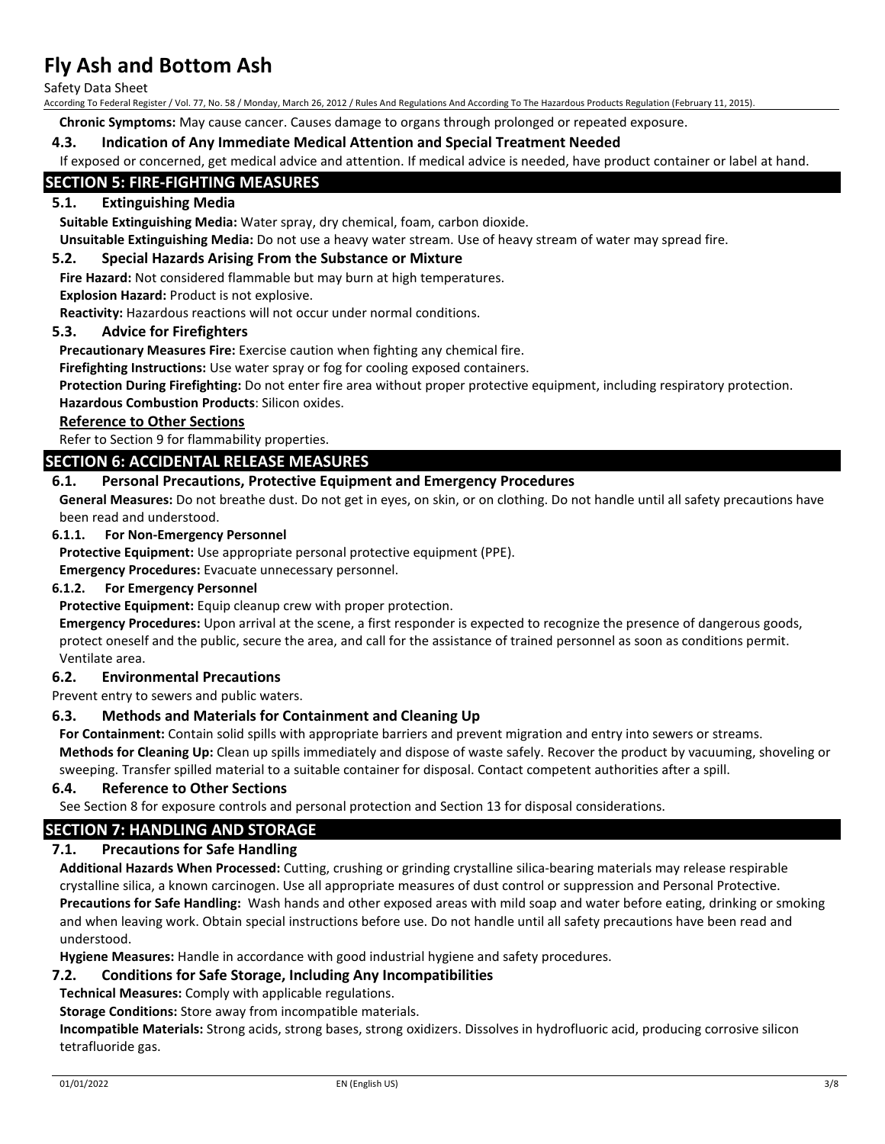Safety Data Sheet

According To Federal Register / Vol. 77, No. 58 / Monday, March 26, 2012 / Rules And Regulations And According To The Hazardous Products Regulation (February 11, 2015).

**Chronic Symptoms:** May cause cancer. Causes damage to organs through prolonged or repeated exposure.

#### **4.3. Indication of Any Immediate Medical Attention and Special Treatment Needed**

If exposed or concerned, get medical advice and attention. If medical advice is needed, have product container or label at hand.

#### **SECTION 5: FIRE-FIGHTING MEASURES**

#### **5.1. Extinguishing Media**

**Suitable Extinguishing Media:** Water spray, dry chemical, foam, carbon dioxide.

**Unsuitable Extinguishing Media:** Do not use a heavy water stream. Use of heavy stream of water may spread fire.

#### **5.2. Special Hazards Arising From the Substance or Mixture**

**Fire Hazard:** Not considered flammable but may burn at high temperatures.

**Explosion Hazard:** Product is not explosive.

**Reactivity:** Hazardous reactions will not occur under normal conditions.

#### **5.3. Advice for Firefighters**

**Precautionary Measures Fire:** Exercise caution when fighting any chemical fire.

**Firefighting Instructions:** Use water spray or fog for cooling exposed containers.

**Protection During Firefighting:** Do not enter fire area without proper protective equipment, including respiratory protection. **Hazardous Combustion Products**: Silicon oxides.

#### **Reference to Other Sections**

Refer to Section 9 for flammability properties.

#### **SECTION 6: ACCIDENTAL RELEASE MEASURES**

#### **6.1. Personal Precautions, Protective Equipment and Emergency Procedures**

**General Measures:** Do not breathe dust. Do not get in eyes, on skin, or on clothing. Do not handle until all safety precautions have been read and understood.

#### **6.1.1. For Non-Emergency Personnel**

**Protective Equipment:** Use appropriate personal protective equipment (PPE).

**Emergency Procedures:** Evacuate unnecessary personnel.

#### **6.1.2. For Emergency Personnel**

**Protective Equipment:** Equip cleanup crew with proper protection.

**Emergency Procedures:** Upon arrival at the scene, a first responder is expected to recognize the presence of dangerous goods, protect oneself and the public, secure the area, and call for the assistance of trained personnel as soon as conditions permit. Ventilate area.

#### **6.2. Environmental Precautions**

Prevent entry to sewers and public waters.

#### **6.3. Methods and Materials for Containment and Cleaning Up**

**For Containment:** Contain solid spills with appropriate barriers and prevent migration and entry into sewers or streams. **Methods for Cleaning Up:** Clean up spills immediately and dispose of waste safely. Recover the product by vacuuming, shoveling or sweeping. Transfer spilled material to a suitable container for disposal. Contact competent authorities after a spill.

#### **6.4. Reference to Other Sections**

See Section 8 for exposure controls and personal protection and Section 13 for disposal considerations.

### **SECTION 7: HANDLING AND STORAGE**

## **7.1. Precautions for Safe Handling**

**Additional Hazards When Processed:** Cutting, crushing or grinding crystalline silica-bearing materials may release respirable crystalline silica, a known carcinogen. Use all appropriate measures of dust control or suppression and Personal Protective. **Precautions for Safe Handling:** Wash hands and other exposed areas with mild soap and water before eating, drinking or smoking and when leaving work. Obtain special instructions before use. Do not handle until all safety precautions have been read and understood.

**Hygiene Measures:** Handle in accordance with good industrial hygiene and safety procedures.

#### **7.2. Conditions for Safe Storage, Including Any Incompatibilities**

**Technical Measures:** Comply with applicable regulations.

**Storage Conditions:** Store away from incompatible materials.

**Incompatible Materials:** Strong acids, strong bases, strong oxidizers. Dissolves in hydrofluoric acid, producing corrosive silicon tetrafluoride gas.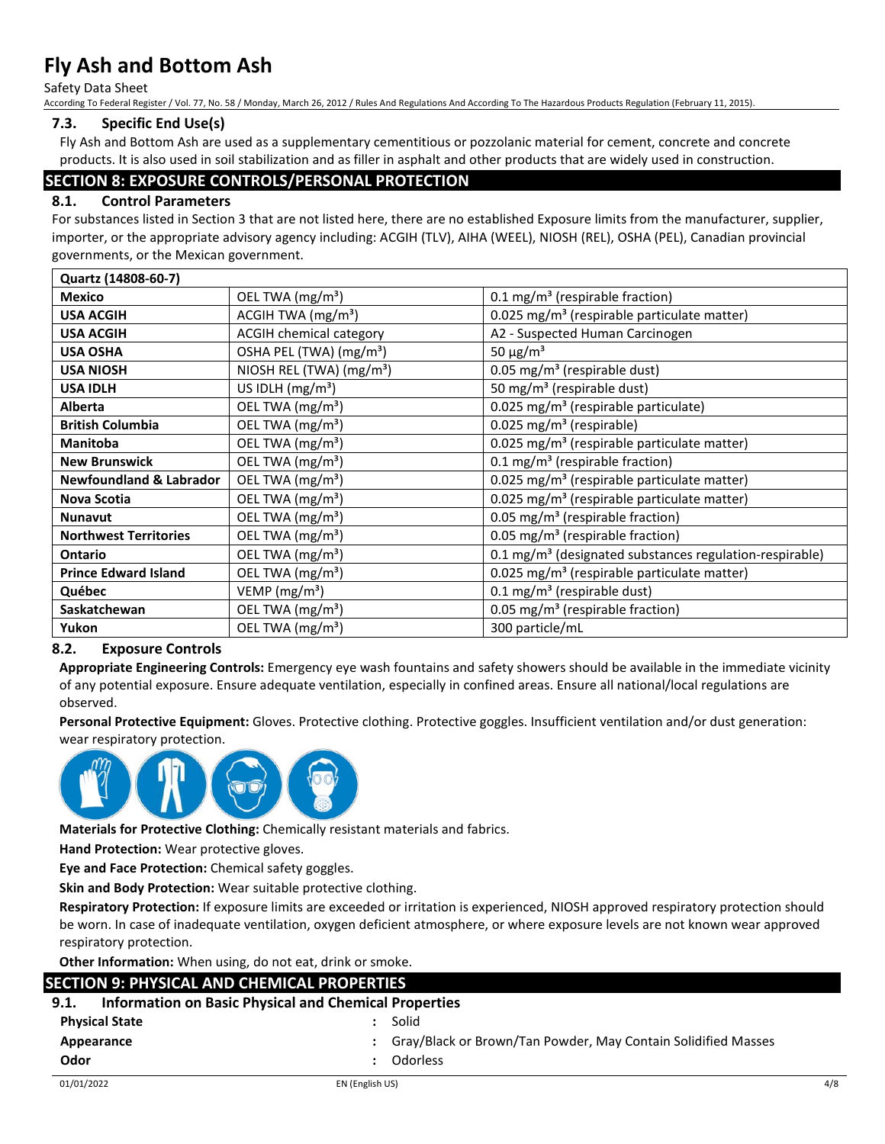Safety Data Sheet

According To Federal Register / Vol. 77, No. 58 / Monday, March 26, 2012 / Rules And Regulations And According To The Hazardous Products Regulation (February 11, 2015).

#### **7.3. Specific End Use(s)**

Fly Ash and Bottom Ash are used as a supplementary cementitious or pozzolanic material for cement, concrete and concrete products. It is also used in soil stabilization and as filler in asphalt and other products that are widely used in construction.

#### **SECTION 8: EXPOSURE CONTROLS/PERSONAL PROTECTION**

#### **8.1. Control Parameters**

For substances listed in Section 3 that are not listed here, there are no established Exposure limits from the manufacturer, supplier, importer, or the appropriate advisory agency including: ACGIH (TLV), AIHA (WEEL), NIOSH (REL), OSHA (PEL), Canadian provincial governments, or the Mexican government.

| Quartz (14808-60-7)                |                                     |                                                                     |
|------------------------------------|-------------------------------------|---------------------------------------------------------------------|
| <b>Mexico</b>                      | OEL TWA (mg/m <sup>3</sup> )        | 0.1 mg/m <sup>3</sup> (respirable fraction)                         |
| <b>USA ACGIH</b>                   | ACGIH TWA $(mg/m3)$                 | 0.025 mg/m <sup>3</sup> (respirable particulate matter)             |
| <b>USA ACGIH</b>                   | ACGIH chemical category             | A2 - Suspected Human Carcinogen                                     |
| <b>USA OSHA</b>                    | OSHA PEL (TWA) (mg/m <sup>3</sup> ) | 50 $\mu$ g/m <sup>3</sup>                                           |
| <b>USA NIOSH</b>                   | NIOSH REL (TWA) $(mg/m3)$           | 0.05 mg/m <sup>3</sup> (respirable dust)                            |
| <b>USA IDLH</b>                    | US IDLH $(mg/m3)$                   | 50 mg/m <sup>3</sup> (respirable dust)                              |
| <b>Alberta</b>                     | OEL TWA (mg/m <sup>3</sup> )        | 0.025 mg/m <sup>3</sup> (respirable particulate)                    |
| <b>British Columbia</b>            | OEL TWA (mg/m <sup>3</sup> )        | 0.025 mg/m <sup>3</sup> (respirable)                                |
| <b>Manitoba</b>                    | OEL TWA (mg/m <sup>3</sup> )        | 0.025 mg/m <sup>3</sup> (respirable particulate matter)             |
| <b>New Brunswick</b>               | OEL TWA (mg/m <sup>3</sup> )        | 0.1 mg/m <sup>3</sup> (respirable fraction)                         |
| <b>Newfoundland &amp; Labrador</b> | OEL TWA (mg/m <sup>3</sup> )        | 0.025 mg/m <sup>3</sup> (respirable particulate matter)             |
| <b>Nova Scotia</b>                 | OEL TWA (mg/m <sup>3</sup> )        | 0.025 mg/m <sup>3</sup> (respirable particulate matter)             |
| <b>Nunavut</b>                     | OEL TWA (mg/m <sup>3</sup> )        | 0.05 mg/m <sup>3</sup> (respirable fraction)                        |
| <b>Northwest Territories</b>       | OEL TWA (mg/m <sup>3</sup> )        | 0.05 mg/m <sup>3</sup> (respirable fraction)                        |
| <b>Ontario</b>                     | OEL TWA (mg/m <sup>3</sup> )        | 0.1 mg/m <sup>3</sup> (designated substances regulation-respirable) |
| <b>Prince Edward Island</b>        | OEL TWA (mg/m <sup>3</sup> )        | 0.025 mg/m <sup>3</sup> (respirable particulate matter)             |
| Québec                             | VEMP ( $mg/m3$ )                    | 0.1 mg/m <sup>3</sup> (respirable dust)                             |
| Saskatchewan                       | OEL TWA (mg/m <sup>3</sup> )        | 0.05 mg/m <sup>3</sup> (respirable fraction)                        |
| Yukon                              | OEL TWA (mg/m <sup>3</sup> )        | 300 particle/mL                                                     |

### **8.2. Exposure Controls**

**Appropriate Engineering Controls:** Emergency eye wash fountains and safety showers should be available in the immediate vicinity of any potential exposure. Ensure adequate ventilation, especially in confined areas. Ensure all national/local regulations are observed.

**Personal Protective Equipment:** Gloves. Protective clothing. Protective goggles. Insufficient ventilation and/or dust generation: wear respiratory protection.



**Materials for Protective Clothing:** Chemically resistant materials and fabrics.

**Hand Protection:** Wear protective gloves.

**Eye and Face Protection:** Chemical safety goggles.

**Skin and Body Protection:** Wear suitable protective clothing.

**Respiratory Protection:** If exposure limits are exceeded or irritation is experienced, NIOSH approved respiratory protection should be worn. In case of inadequate ventilation, oxygen deficient atmosphere, or where exposure levels are not known wear approved respiratory protection.

**Other Information:** When using, do not eat, drink or smoke.

## **SECTION 9: PHYSICAL AND CHEMICAL PROPERTIES**

#### **9.1. Information on Basic Physical and Chemical Properties**

| <b>Physical State</b> | Solid |
|-----------------------|-------|
|                       |       |

- **Appearance :** Gray/Black or Brown/Tan Powder, May Contain Solidified Masses
- **Odor :** Odorless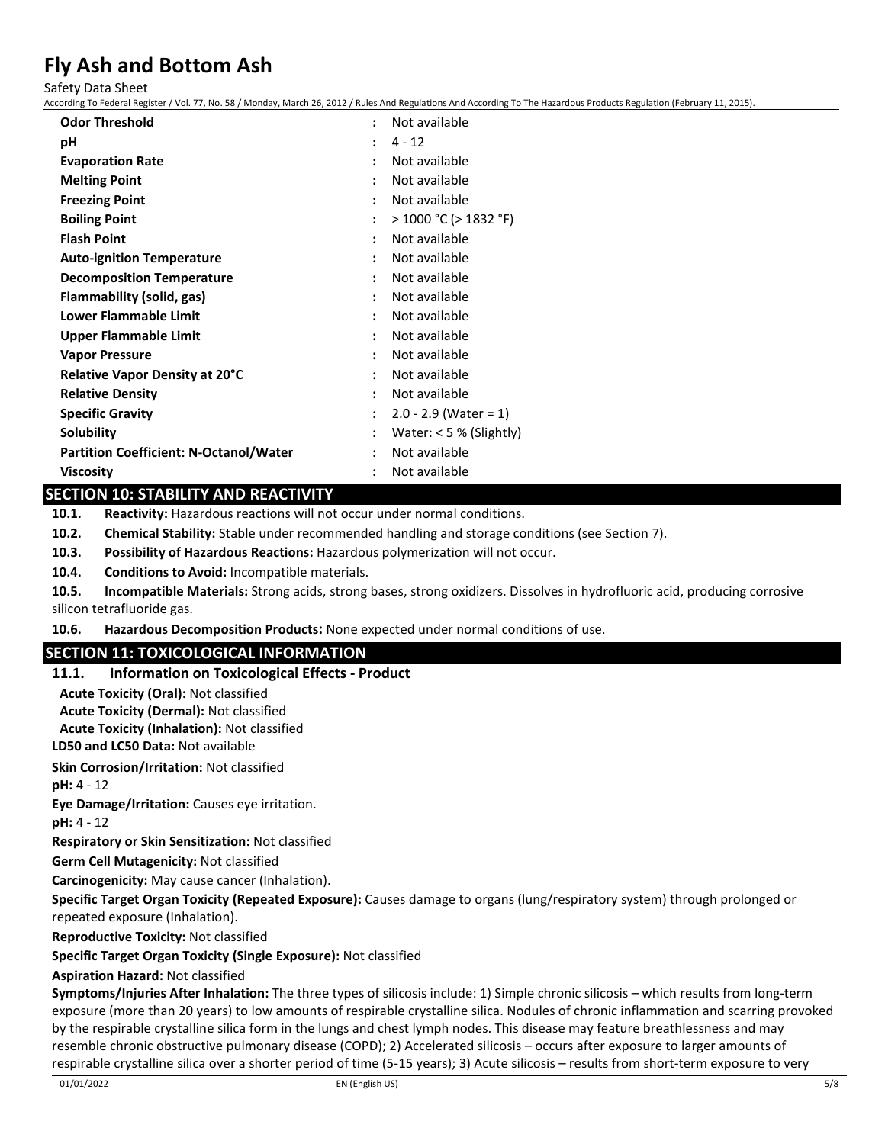Safety Data Sheet

According To Federal Register / Vol. 77, No. 58 / Monday, March 26, 2012 / Rules And Regulations And According To The Hazardous Products Regulation (February 11, 2015).

| <b>Odor Threshold</b>                         | $\ddot{\phantom{a}}$ | Not available              |
|-----------------------------------------------|----------------------|----------------------------|
| рH                                            |                      | $4 - 12$                   |
| <b>Evaporation Rate</b>                       |                      | Not available              |
| <b>Melting Point</b>                          |                      | Not available              |
| <b>Freezing Point</b>                         |                      | Not available              |
| <b>Boiling Point</b>                          |                      | $>$ 1000 °C ( $>$ 1832 °F) |
| <b>Flash Point</b>                            |                      | Not available              |
| <b>Auto-ignition Temperature</b>              |                      | Not available              |
| <b>Decomposition Temperature</b>              |                      | Not available              |
| Flammability (solid, gas)                     |                      | Not available              |
| <b>Lower Flammable Limit</b>                  |                      | Not available              |
| Upper Flammable Limit                         |                      | Not available              |
| <b>Vapor Pressure</b>                         |                      | Not available              |
| <b>Relative Vapor Density at 20°C</b>         |                      | Not available              |
| <b>Relative Density</b>                       |                      | Not available              |
| <b>Specific Gravity</b>                       |                      | $2.0 - 2.9$ (Water = 1)    |
| Solubility                                    |                      | Water: $<$ 5 % (Slightly)  |
| <b>Partition Coefficient: N-Octanol/Water</b> |                      | Not available              |
| <b>Viscosity</b>                              |                      | Not available              |

#### **SECTION 10: STABILITY AND REACTIVITY**

**10.1. Reactivity:** Hazardous reactions will not occur under normal conditions.

**10.2. Chemical Stability:** Stable under recommended handling and storage conditions (see Section 7).

**10.3. Possibility of Hazardous Reactions:** Hazardous polymerization will not occur.

**10.4. Conditions to Avoid:** Incompatible materials.

**10.5. Incompatible Materials:** Strong acids, strong bases, strong oxidizers. Dissolves in hydrofluoric acid, producing corrosive silicon tetrafluoride gas.

**10.6. Hazardous Decomposition Products:** None expected under normal conditions of use.

#### **SECTION 11: TOXICOLOGICAL INFORMATION**

#### **11.1. Information on Toxicological Effects - Product**

**Acute Toxicity (Oral):** Not classified

**Acute Toxicity (Dermal):** Not classified

**Acute Toxicity (Inhalation):** Not classified

**LD50 and LC50 Data:** Not available

**Skin Corrosion/Irritation:** Not classified

**pH:** 4 - 12

**Eye Damage/Irritation:** Causes eye irritation.

**pH:** 4 - 12

**Respiratory or Skin Sensitization:** Not classified

**Germ Cell Mutagenicity:** Not classified

**Carcinogenicity:** May cause cancer (Inhalation).

**Specific Target Organ Toxicity (Repeated Exposure):** Causes damage to organs (lung/respiratory system) through prolonged or repeated exposure (Inhalation).

**Reproductive Toxicity:** Not classified

### **Specific Target Organ Toxicity (Single Exposure):** Not classified

### **Aspiration Hazard:** Not classified

**Symptoms/Injuries After Inhalation:** The three types of silicosis include: 1) Simple chronic silicosis – which results from long-term exposure (more than 20 years) to low amounts of respirable crystalline silica. Nodules of chronic inflammation and scarring provoked by the respirable crystalline silica form in the lungs and chest lymph nodes. This disease may feature breathlessness and may resemble chronic obstructive pulmonary disease (COPD); 2) Accelerated silicosis – occurs after exposure to larger amounts of respirable crystalline silica over a shorter period of time (5-15 years); 3) Acute silicosis – results from short-term exposure to very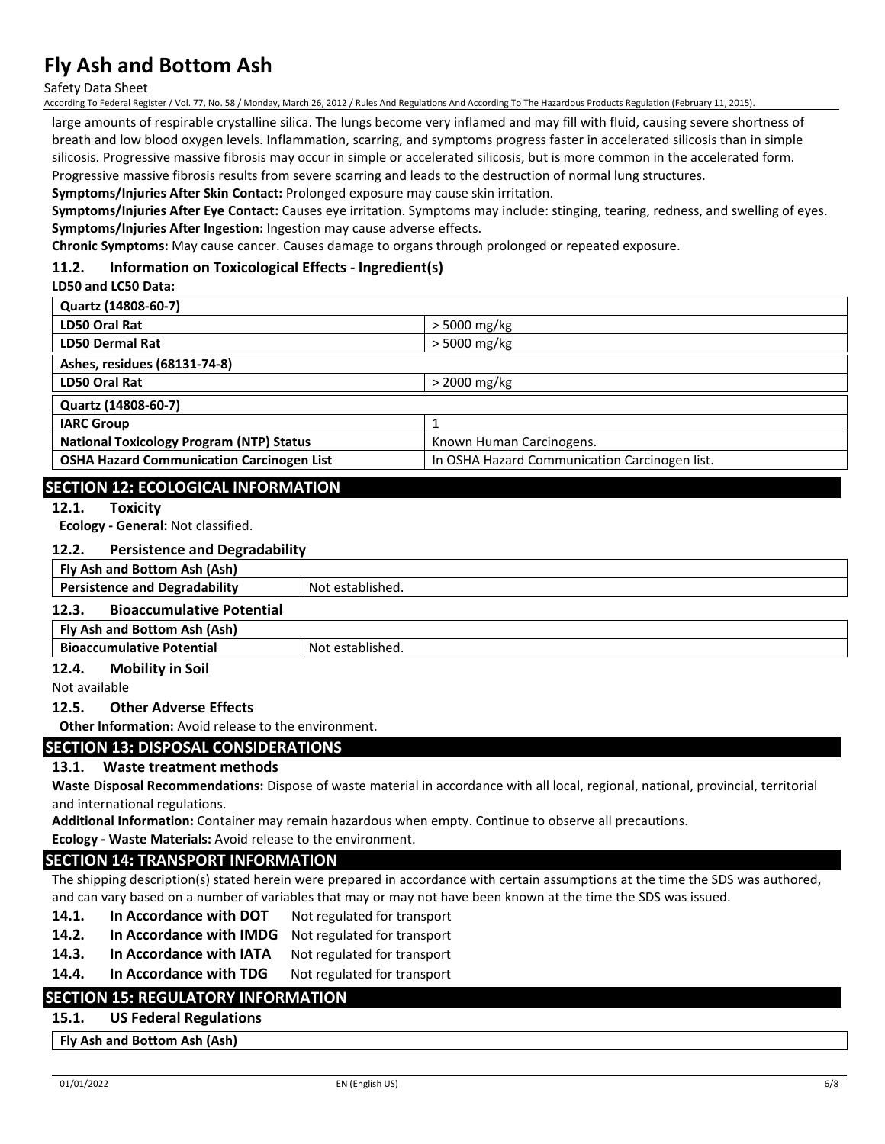Safety Data Sheet

According To Federal Register / Vol. 77, No. 58 / Monday, March 26, 2012 / Rules And Regulations And According To The Hazardous Products Regulation (February 11, 2015).

large amounts of respirable crystalline silica. The lungs become very inflamed and may fill with fluid, causing severe shortness of breath and low blood oxygen levels. Inflammation, scarring, and symptoms progress faster in accelerated silicosis than in simple silicosis. Progressive massive fibrosis may occur in simple or accelerated silicosis, but is more common in the accelerated form. Progressive massive fibrosis results from severe scarring and leads to the destruction of normal lung structures.

**Symptoms/Injuries After Skin Contact:** Prolonged exposure may cause skin irritation.

**Symptoms/Injuries After Eye Contact:** Causes eye irritation. Symptoms may include: stinging, tearing, redness, and swelling of eyes. **Symptoms/Injuries After Ingestion:** Ingestion may cause adverse effects.

**Chronic Symptoms:** May cause cancer. Causes damage to organs through prolonged or repeated exposure.

#### **11.2. Information on Toxicological Effects - Ingredient(s)**

#### **LD50 and LC50 Data:**

| Quartz (14808-60-7)                              |                                               |
|--------------------------------------------------|-----------------------------------------------|
| LD50 Oral Rat                                    | > 5000 mg/kg                                  |
| <b>LD50 Dermal Rat</b>                           | $>$ 5000 mg/kg                                |
| Ashes, residues (68131-74-8)                     |                                               |
| LD50 Oral Rat                                    | $>$ 2000 mg/kg                                |
| Quartz (14808-60-7)                              |                                               |
| <b>IARC Group</b>                                |                                               |
| <b>National Toxicology Program (NTP) Status</b>  | Known Human Carcinogens.                      |
| <b>OSHA Hazard Communication Carcinogen List</b> | In OSHA Hazard Communication Carcinogen list. |
|                                                  |                                               |

## **SECTION 12: ECOLOGICAL INFORMATION**

#### **12.1. Toxicity**

**Ecology - General:** Not classified.

#### **12.2. Persistence and Degradability**

| Fly Ash and Bottom Ash (Ash)                                |                  |  |
|-------------------------------------------------------------|------------------|--|
| <b>Persistence and Degradability</b>                        | Not established. |  |
| <b>Bioaccumulative Potential</b><br>12.3.                   |                  |  |
| Fly Ash and Bottom Ash (Ash)                                |                  |  |
| <b>Bioaccumulative Potential</b>                            | Not established. |  |
| <b>Mobility in Soil</b><br>12.4.                            |                  |  |
| Not available                                               |                  |  |
| <b>Other Adverse Effects</b><br>12.5.                       |                  |  |
| <b>Other Information:</b> Avoid release to the environment. |                  |  |
|                                                             |                  |  |

#### **SECTION 13: DISPOSAL CONSIDERATIONS**

#### **13.1. Waste treatment methods**

**Waste Disposal Recommendations:** Dispose of waste material in accordance with all local, regional, national, provincial, territorial and international regulations.

**Additional Information:** Container may remain hazardous when empty. Continue to observe all precautions.

**Ecology - Waste Materials:** Avoid release to the environment.

#### **SECTION 14: TRANSPORT INFORMATION**

The shipping description(s) stated herein were prepared in accordance with certain assumptions at the time the SDS was authored, and can vary based on a number of variables that may or may not have been known at the time the SDS was issued.

- 14.1. In Accordance with DOT Not regulated for transport
- **14.2. In Accordance with IMDG** Not regulated for transport
- 14.3. In Accordance with IATA Not regulated for transport
- 14.4. In Accordance with TDG Not regulated for transport

## **SECTION 15: REGULATORY INFORMATION**

**15.1. US Federal Regulations**

**Fly Ash and Bottom Ash (Ash)**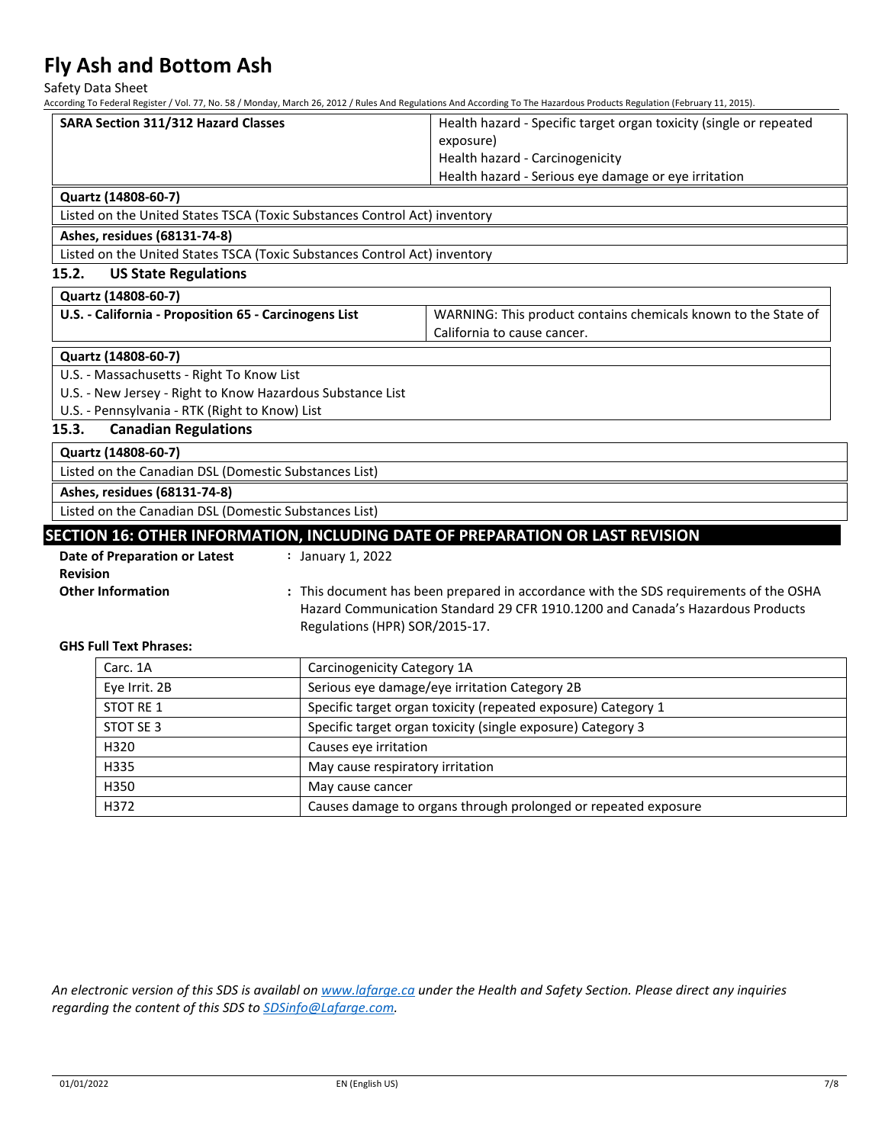Safety Data Sheet

According To Federal Register / Vol. 77, No. 58 / Monday, March 26, 2012 / Rules And Regulations And According To The Hazardous Products Regulation (February 11, 2015).

|                                                                                                                   |                                                                | According To Federal Register / Vol. 77, No. 58 / Mionday, March 26, 2012 / Rules And Regulations And According To The Hazardous Products Regulation (February 11, 2015). |  |
|-------------------------------------------------------------------------------------------------------------------|----------------------------------------------------------------|---------------------------------------------------------------------------------------------------------------------------------------------------------------------------|--|
| <b>SARA Section 311/312 Hazard Classes</b>                                                                        |                                                                | Health hazard - Specific target organ toxicity (single or repeated                                                                                                        |  |
|                                                                                                                   |                                                                | exposure)<br>Health hazard - Carcinogenicity                                                                                                                              |  |
|                                                                                                                   |                                                                | Health hazard - Serious eye damage or eye irritation                                                                                                                      |  |
|                                                                                                                   |                                                                |                                                                                                                                                                           |  |
| Quartz (14808-60-7)<br>Listed on the United States TSCA (Toxic Substances Control Act) inventory                  |                                                                |                                                                                                                                                                           |  |
|                                                                                                                   |                                                                |                                                                                                                                                                           |  |
| Ashes, residues (68131-74-8)<br>Listed on the United States TSCA (Toxic Substances Control Act) inventory         |                                                                |                                                                                                                                                                           |  |
| 15.2.<br><b>US State Regulations</b>                                                                              |                                                                |                                                                                                                                                                           |  |
|                                                                                                                   |                                                                |                                                                                                                                                                           |  |
| Quartz (14808-60-7)                                                                                               |                                                                |                                                                                                                                                                           |  |
| U.S. - California - Proposition 65 - Carcinogens List                                                             |                                                                | WARNING: This product contains chemicals known to the State of                                                                                                            |  |
|                                                                                                                   |                                                                | California to cause cancer.                                                                                                                                               |  |
| Quartz (14808-60-7)                                                                                               |                                                                |                                                                                                                                                                           |  |
| U.S. - Massachusetts - Right To Know List                                                                         |                                                                |                                                                                                                                                                           |  |
| U.S. - New Jersey - Right to Know Hazardous Substance List                                                        |                                                                |                                                                                                                                                                           |  |
| U.S. - Pennsylvania - RTK (Right to Know) List                                                                    |                                                                |                                                                                                                                                                           |  |
| <b>Canadian Regulations</b><br>15.3.                                                                              |                                                                |                                                                                                                                                                           |  |
| Quartz (14808-60-7)                                                                                               |                                                                |                                                                                                                                                                           |  |
| Listed on the Canadian DSL (Domestic Substances List)                                                             |                                                                |                                                                                                                                                                           |  |
| Ashes, residues (68131-74-8)                                                                                      |                                                                |                                                                                                                                                                           |  |
| Listed on the Canadian DSL (Domestic Substances List)                                                             |                                                                |                                                                                                                                                                           |  |
|                                                                                                                   |                                                                | SECTION 16: OTHER INFORMATION, INCLUDING DATE OF PREPARATION OR LAST REVISION                                                                                             |  |
| <b>Date of Preparation or Latest</b>                                                                              | : January 1, 2022                                              |                                                                                                                                                                           |  |
| <b>Revision</b>                                                                                                   |                                                                |                                                                                                                                                                           |  |
| <b>Other Information</b><br>: This document has been prepared in accordance with the SDS requirements of the OSHA |                                                                |                                                                                                                                                                           |  |
| Hazard Communication Standard 29 CFR 1910.1200 and Canada's Hazardous Products                                    |                                                                |                                                                                                                                                                           |  |
|                                                                                                                   | Regulations (HPR) SOR/2015-17.                                 |                                                                                                                                                                           |  |
| <b>GHS Full Text Phrases:</b>                                                                                     |                                                                |                                                                                                                                                                           |  |
| Carc. 1A                                                                                                          | Carcinogenicity Category 1A                                    |                                                                                                                                                                           |  |
| Eye Irrit. 2B                                                                                                     | Serious eye damage/eye irritation Category 2B                  |                                                                                                                                                                           |  |
| <b>STOT RE 1</b>                                                                                                  | Specific target organ toxicity (repeated exposure) Category 1  |                                                                                                                                                                           |  |
| STOT SE 3                                                                                                         | Specific target organ toxicity (single exposure) Category 3    |                                                                                                                                                                           |  |
| H320                                                                                                              | Causes eye irritation                                          |                                                                                                                                                                           |  |
| H335                                                                                                              | May cause respiratory irritation                               |                                                                                                                                                                           |  |
| H350                                                                                                              | May cause cancer                                               |                                                                                                                                                                           |  |
| H372                                                                                                              | Causes damage to organs through prolonged or repeated exposure |                                                                                                                                                                           |  |
|                                                                                                                   |                                                                |                                                                                                                                                                           |  |

*An electronic version of this SDS is availabl on [www.lafarge.ca](https://linkprotect.cudasvc.com/url?a=http%3a%2f%2fwww.lafarge.ca%2f&c=E,1,c638sXTNj-hTLhQKnKACVJuJTN8O39UwyxM9aEadwiYEuU9aKwcqIlJDfMFG6POdsSr10ydSRijw8yGr2O170kRgbzgbCeiUigQ9TvTzLLvoO7ndE8I,&typo=1) under the Health and Safety Section. Please direct any inquiries regarding the content of this SDS t[o SDSinfo@Lafarge.com.](mailto:SDSinfo@Lafarge.com)*